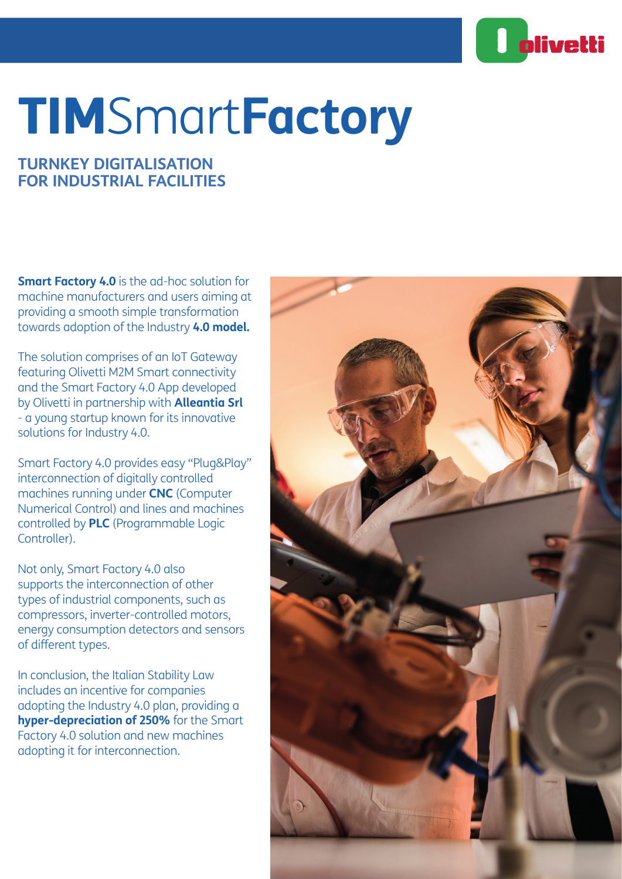

# TIMSmart**Factory**

# **TURNKEY DIGITALISATION FOR INDUSTRIAL FACILITIES**

**Smart Factory 4.0** is the ad-hoc solution for machine manufacturers and users aiming at providing a smooth simple transformation towards adoption of the Industry **4.0 model.**

The solution comprises of an IoT Gateway featuring Olivetti M2M Smart connectivity and the Smart Factory 4.0 App developed by Olivetti in partnership with **Alleantia Srl** - a young startup known for its innovative solutions for Industry 4.0.

Smart Factory 4.0 provides easy "Plug&Play" interconnection of digitally controlled machines running under **CNC** (Computer Numerical Control) and lines and machines controlled by **PLC** (Programmable Logic Controller).

Not only, Smart Factory 4.0 also supports the interconnection of other types of industrial components, such as compressors, inverter-controlled motors, energy consumption detectors and sensors of different types.

In conclusion, the Italian Stability Law includes an incentive for companies adopting the Industry 4.0 plan, providing a **hyper-depreciation of 250%** for the Smart Factory 4.0 solution and new machines adopting it for interconnection.